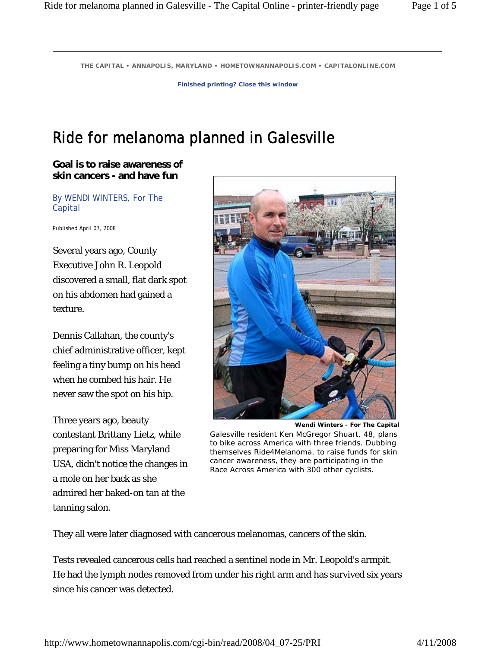**THE CAPITAL • ANNAPOLIS, MARYLAND • HOMETOWNANNAPOLIS.COM • CAPITALONLINE.COM** 

**Finished printing? Close this window**

## Ride for melanoma planned in Galesville

**Goal is to raise awareness of skin cancers - and have fun** 

By WENDI WINTERS, For The Capital

Published April 07, 2008

Several years ago, County Executive John R. Leopold discovered a small, flat dark spot on his abdomen had gained a texture.

Dennis Callahan, the county's chief administrative officer, kept feeling a tiny bump on his head when he combed his hair. He never saw the spot on his hip.

Three years ago, beauty contestant Brittany Lietz, while preparing for Miss Maryland USA, didn't notice the changes in a mole on her back as she admired her baked-on tan at the tanning salon.



**Wendi Winters - For The Capital**  Galesville resident Ken McGregor Shuart, 48, plans to bike across America with three friends. Dubbing themselves Ride4Melanoma, to raise funds for skin cancer awareness, they are participating in the Race Across America with 300 other cyclists.

They all were later diagnosed with cancerous melanomas, cancers of the skin.

Tests revealed cancerous cells had reached a sentinel node in Mr. Leopold's armpit. He had the lymph nodes removed from under his right arm and has survived six years since his cancer was detected.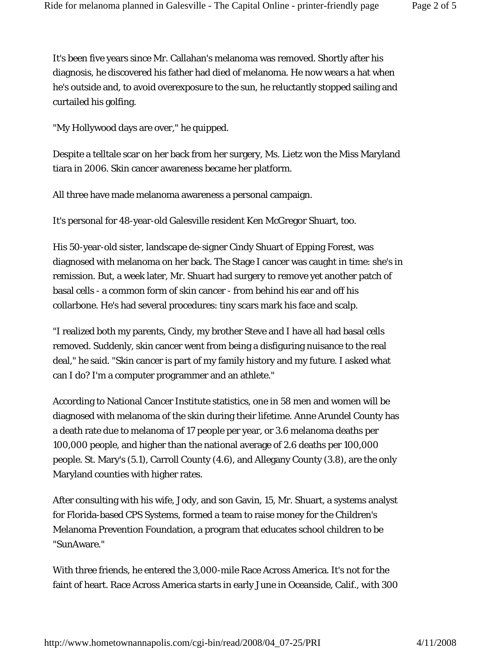It's been five years since Mr. Callahan's melanoma was removed. Shortly after his diagnosis, he discovered his father had died of melanoma. He now wears a hat when he's outside and, to avoid overexposure to the sun, he reluctantly stopped sailing and curtailed his golfing.

"My Hollywood days are over," he quipped.

Despite a telltale scar on her back from her surgery, Ms. Lietz won the Miss Maryland tiara in 2006. Skin cancer awareness became her platform.

All three have made melanoma awareness a personal campaign.

It's personal for 48-year-old Galesville resident Ken McGregor Shuart, too.

His 50-year-old sister, landscape de-signer Cindy Shuart of Epping Forest, was diagnosed with melanoma on her back. The Stage I cancer was caught in time: she's in remission. But, a week later, Mr. Shuart had surgery to remove yet another patch of basal cells - a common form of skin cancer - from behind his ear and off his collarbone. He's had several procedures: tiny scars mark his face and scalp.

"I realized both my parents, Cindy, my brother Steve and I have all had basal cells removed. Suddenly, skin cancer went from being a disfiguring nuisance to the real deal," he said. "Skin cancer is part of my family history and my future. I asked what can I do? I'm a computer programmer and an athlete."

According to National Cancer Institute statistics, one in 58 men and women will be diagnosed with melanoma of the skin during their lifetime. Anne Arundel County has a death rate due to melanoma of 17 people per year, or 3.6 melanoma deaths per 100,000 people, and higher than the national average of 2.6 deaths per 100,000 people. St. Mary's (5.1), Carroll County (4.6), and Allegany County (3.8), are the only Maryland counties with higher rates.

After consulting with his wife, Jody, and son Gavin, 15, Mr. Shuart, a systems analyst for Florida-based CPS Systems, formed a team to raise money for the Children's Melanoma Prevention Foundation, a program that educates school children to be "SunAware."

With three friends, he entered the 3,000-mile Race Across America. It's not for the faint of heart. Race Across America starts in early June in Oceanside, Calif., with 300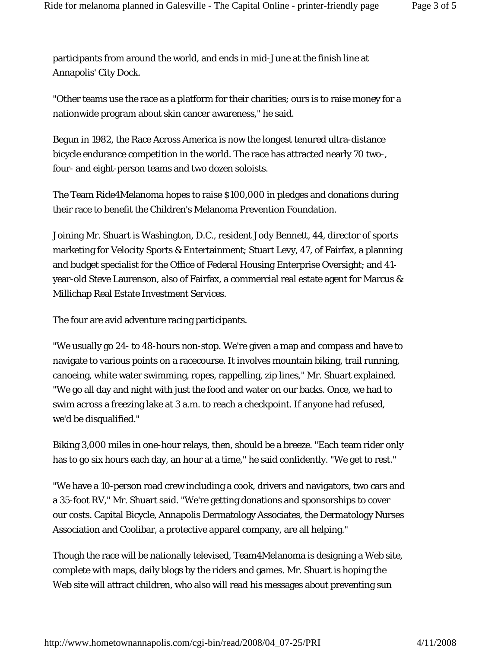participants from around the world, and ends in mid-June at the finish line at Annapolis' City Dock.

"Other teams use the race as a platform for their charities; ours is to raise money for a nationwide program about skin cancer awareness," he said.

Begun in 1982, the Race Across America is now the longest tenured ultra-distance bicycle endurance competition in the world. The race has attracted nearly 70 two-, four- and eight-person teams and two dozen soloists.

The Team Ride4Melanoma hopes to raise \$100,000 in pledges and donations during their race to benefit the Children's Melanoma Prevention Foundation.

Joining Mr. Shuart is Washington, D.C., resident Jody Bennett, 44, director of sports marketing for Velocity Sports & Entertainment; Stuart Levy, 47, of Fairfax, a planning and budget specialist for the Office of Federal Housing Enterprise Oversight; and 41 year-old Steve Laurenson, also of Fairfax, a commercial real estate agent for Marcus & Millichap Real Estate Investment Services.

The four are avid adventure racing participants.

"We usually go 24- to 48-hours non-stop. We're given a map and compass and have to navigate to various points on a racecourse. It involves mountain biking, trail running, canoeing, white water swimming, ropes, rappelling, zip lines," Mr. Shuart explained. "We go all day and night with just the food and water on our backs. Once, we had to swim across a freezing lake at 3 a.m. to reach a checkpoint. If anyone had refused, we'd be disqualified."

Biking 3,000 miles in one-hour relays, then, should be a breeze. "Each team rider only has to go six hours each day, an hour at a time," he said confidently. "We get to rest."

"We have a 10-person road crew including a cook, drivers and navigators, two cars and a 35-foot RV," Mr. Shuart said. "We're getting donations and sponsorships to cover our costs. Capital Bicycle, Annapolis Dermatology Associates, the Dermatology Nurses Association and Coolibar, a protective apparel company, are all helping."

Though the race will be nationally televised, Team4Melanoma is designing a Web site, complete with maps, daily blogs by the riders and games. Mr. Shuart is hoping the Web site will attract children, who also will read his messages about preventing sun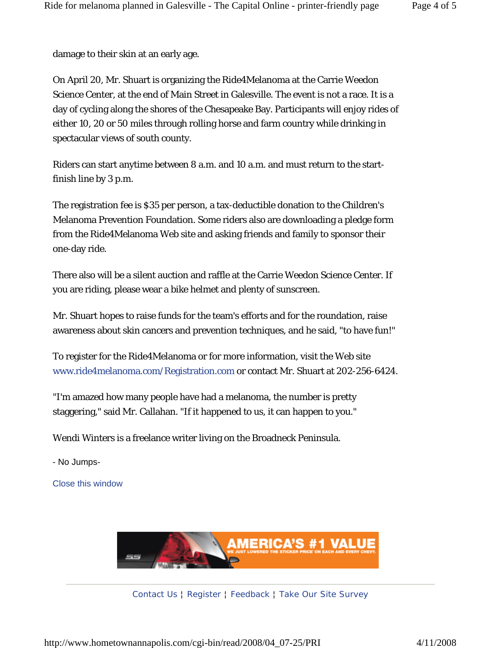damage to their skin at an early age.

On April 20, Mr. Shuart is organizing the Ride4Melanoma at the Carrie Weedon Science Center, at the end of Main Street in Galesville. The event is not a race. It is a day of cycling along the shores of the Chesapeake Bay. Participants will enjoy rides of either 10, 20 or 50 miles through rolling horse and farm country while drinking in spectacular views of south county.

Riders can start anytime between 8 a.m. and 10 a.m. and must return to the startfinish line by 3 p.m.

The registration fee is \$35 per person, a tax-deductible donation to the Children's Melanoma Prevention Foundation. Some riders also are downloading a pledge form from the Ride4Melanoma Web site and asking friends and family to sponsor their one-day ride.

There also will be a silent auction and raffle at the Carrie Weedon Science Center. If you are riding, please wear a bike helmet and plenty of sunscreen.

Mr. Shuart hopes to raise funds for the team's efforts and for the roundation, raise awareness about skin cancers and prevention techniques, and he said, "to have fun!"

To register for the Ride4Melanoma or for more information, visit the Web site www.ride4melanoma.com/Registration.com or contact Mr. Shuart at 202-256-6424.

"I'm amazed how many people have had a melanoma, the number is pretty staggering," said Mr. Callahan. "If it happened to us, it can happen to you."

Wendi Winters is a freelance writer living on the Broadneck Peninsula.

- No Jumps-

Close this window



Contact Us ¦ Register ¦ Feedback ¦ Take Our Site Survey